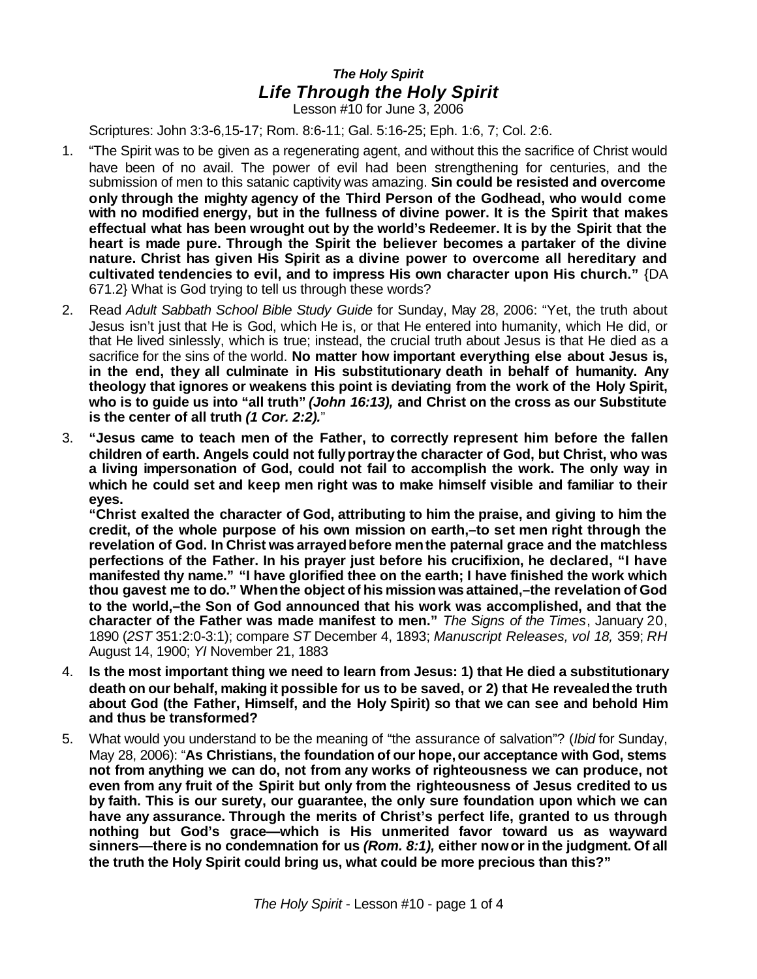## *The Holy Spirit Life Through the Holy Spirit*

Lesson #10 for June 3, 2006

Scriptures: John 3:3-6,15-17; Rom. 8:6-11; Gal. 5:16-25; Eph. 1:6, 7; Col. 2:6.

- 1. "The Spirit was to be given as a regenerating agent, and without this the sacrifice of Christ would have been of no avail. The power of evil had been strengthening for centuries, and the submission of men to this satanic captivity was amazing. **Sin could be resisted and overcome only through the mighty agency of the Third Person of the Godhead, who would come with no modified energy, but in the fullness of divine power. It is the Spirit that makes effectual what has been wrought out by the world's Redeemer. It is by the Spirit that the heart is made pure. Through the Spirit the believer becomes a partaker of the divine nature. Christ has given His Spirit as a divine power to overcome all hereditary and cultivated tendencies to evil, and to impress His own character upon His church."** {DA 671.2} What is God trying to tell us through these words?
- 2. Read *Adult Sabbath School Bible Study Guide* for Sunday, May 28, 2006: "Yet, the truth about Jesus isn't just that He is God, which He is, or that He entered into humanity, which He did, or that He lived sinlessly, which is true; instead, the crucial truth about Jesus is that He died as a sacrifice for the sins of the world. **No matter how important everything else about Jesus is, in the end, they all culminate in His substitutionary death in behalf of humanity. Any theology that ignores or weakens this point is deviating from the work of the Holy Spirit, who is to guide us into "all truth"** *(John 16:13),* **and Christ on the cross as our Substitute is the center of all truth** *(1 Cor. 2:2).*"
- 3. **"Jesus came to teach men of the Father, to correctly represent him before the fallen children of earth. Angels could not fullyportraythe character of God, but Christ, who was a living impersonation of God, could not fail to accomplish the work. The only way in which he could set and keep men right was to make himself visible and familiar to their eyes.**

**"Christ exalted the character of God, attributing to him the praise, and giving to him the credit, of the whole purpose of his own mission on earth,–to set men right through the revelation of God. In Christ was arrayedbefore menthe paternal grace and the matchless perfections of the Father. In his prayer just before his crucifixion, he declared, "I have manifested thy name." "I have glorified thee on the earth; I have finished the work which thou gavest me to do." Whenthe object of his mission was attained,–the revelation of God to the world,–the Son of God announced that his work was accomplished, and that the character of the Father was made manifest to men."** *The Signs of the Times*, January 20, 1890 (*2ST* 351:2:0-3:1); compare *ST* December 4, 1893; *Manuscript Releases, vol 18,* 359; *RH* August 14, 1900; *YI* November 21, 1883

- 4. **Is the most important thing we need to learn from Jesus: 1) that He died a substitutionary death on our behalf, making it possible for us to be saved, or 2) that He revealedthe truth about God (the Father, Himself, and the Holy Spirit) so that we can see and behold Him and thus be transformed?**
- 5. What would you understand to be the meaning of "the assurance of salvation"? (*Ibid* for Sunday, May 28, 2006): "**As Christians, the foundation of our hope,our acceptance with God, stems not from anything we can do, not from any works of righteousness we can produce, not even from any fruit of the Spirit but only from the righteousness of Jesus credited to us by faith. This is our surety, our guarantee, the only sure foundation upon which we can have any assurance. Through the merits of Christ's perfect life, granted to us through nothing but God's grace—which is His unmerited favor toward us as wayward sinners—there is no condemnation for us** *(Rom. 8:1),* **either nowor in the judgment. Of all the truth the Holy Spirit could bring us, what could be more precious than this?"**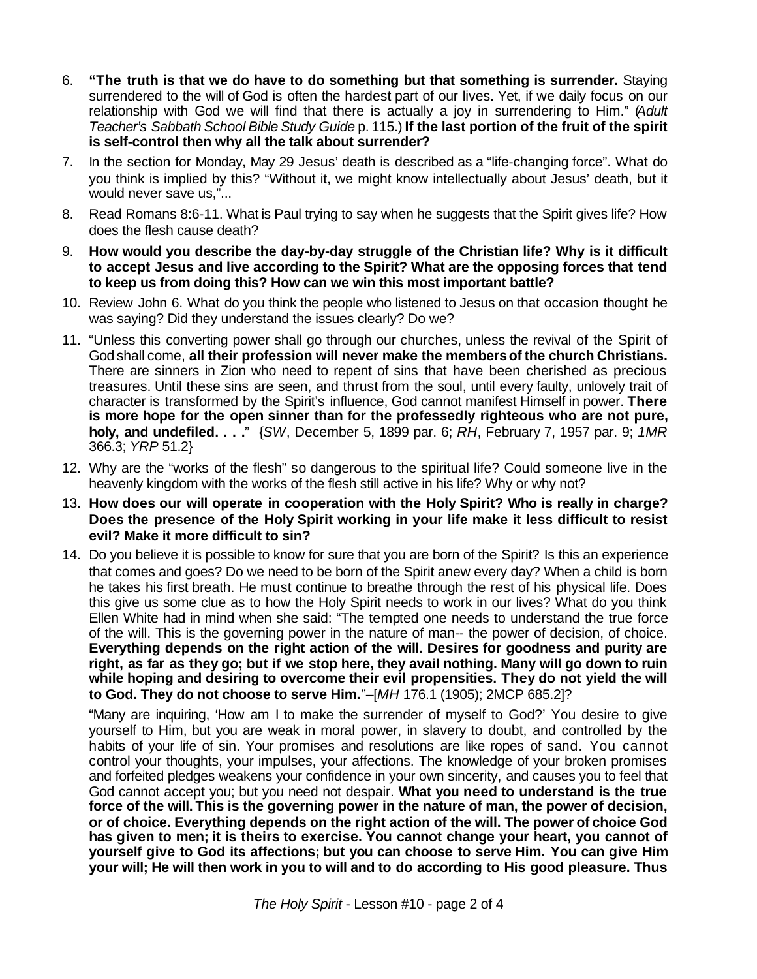- 6. **"The truth is that we do have to do something but that something is surrender.** Staying surrendered to the will of God is often the hardest part of our lives. Yet, if we daily focus on our relationship with God we will find that there is actually a joy in surrendering to Him." (*Adult Teacher's Sabbath School Bible Study Guide* p. 115.) **If the last portion of the fruit of the spirit is self-control then why all the talk about surrender?**
- 7. In the section for Monday, May 29 Jesus' death is described as a "life-changing force". What do you think is implied by this? "Without it, we might know intellectually about Jesus' death, but it would never save us,"...
- 8. Read Romans 8:6-11. What is Paul trying to say when he suggests that the Spirit gives life? How does the flesh cause death?
- 9. **How would you describe the day-by-day struggle of the Christian life? Why is it difficult to accept Jesus and live according to the Spirit? What are the opposing forces that tend to keep us from doing this? How can we win this most important battle?**
- 10. Review John 6. What do you think the people who listened to Jesus on that occasion thought he was saying? Did they understand the issues clearly? Do we?
- 11. "Unless this converting power shall go through our churches, unless the revival of the Spirit of God shall come, **all their profession will never make the membersof the church Christians.** There are sinners in Zion who need to repent of sins that have been cherished as precious treasures. Until these sins are seen, and thrust from the soul, until every faulty, unlovely trait of character is transformed by the Spirit's influence, God cannot manifest Himself in power. **There is more hope for the open sinner than for the professedly righteous who are not pure, holy, and undefiled. . . .**" {*SW*, December 5, 1899 par. 6; *RH*, February 7, 1957 par. 9; *1MR* 366.3; *YRP* 51.2}
- 12. Why are the "works of the flesh" so dangerous to the spiritual life? Could someone live in the heavenly kingdom with the works of the flesh still active in his life? Why or why not?
- 13. **How does our will operate in cooperation with the Holy Spirit? Who is really in charge? Does the presence of the Holy Spirit working in your life make it less difficult to resist evil? Make it more difficult to sin?**
- 14. Do you believe it is possible to know for sure that you are born of the Spirit? Is this an experience that comes and goes? Do we need to be born of the Spirit anew every day? When a child is born he takes his first breath. He must continue to breathe through the rest of his physical life. Does this give us some clue as to how the Holy Spirit needs to work in our lives? What do you think Ellen White had in mind when she said: "The tempted one needs to understand the true force of the will. This is the governing power in the nature of man-- the power of decision, of choice. **Everything depends on the right action of the will. Desires for goodness and purity are right, as far as they go; but if we stop here, they avail nothing. Many will go down to ruin while hoping and desiring to overcome their evil propensities. They do not yield the will to God. They do not choose to serve Him.**"–[*MH* 176.1 (1905); 2MCP 685.2]?

"Many are inquiring, 'How am I to make the surrender of myself to God?' You desire to give yourself to Him, but you are weak in moral power, in slavery to doubt, and controlled by the habits of your life of sin. Your promises and resolutions are like ropes of sand. You cannot control your thoughts, your impulses, your affections. The knowledge of your broken promises and forfeited pledges weakens your confidence in your own sincerity, and causes you to feel that God cannot accept you; but you need not despair. **What you need to understand is the true force of the will. This is the governing power in the nature of man, the power of decision, or of choice. Everything depends on the right action of the will. The power of choice God has given to men; it is theirs to exercise. You cannot change your heart, you cannot of yourself give to God its affections; but you can choose to serve Him. You can give Him your will; He will then work in you to will and to do according to His good pleasure. Thus**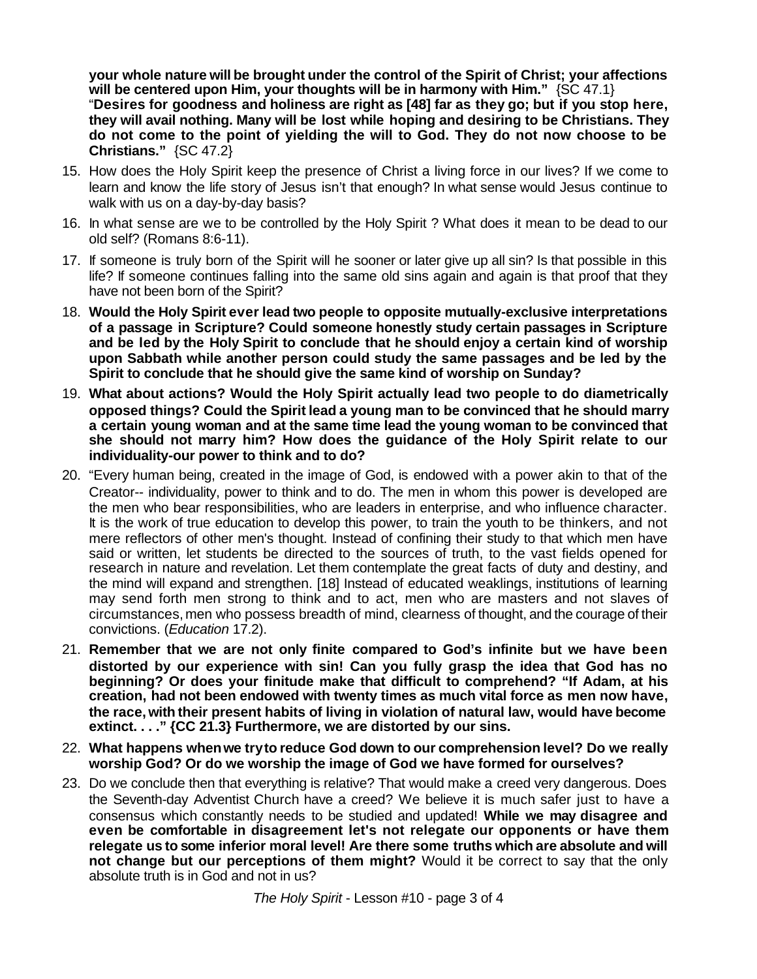**your whole nature will be brought under the control of the Spirit of Christ; your affections will be centered upon Him, your thoughts will be in harmony with Him."** {SC 47.1}

"**Desires for goodness and holiness are right as [48] far as they go; but if you stop here, they will avail nothing. Many will be lost while hoping and desiring to be Christians. They do not come to the point of yielding the will to God. They do not now choose to be Christians."** {SC 47.2}

- 15. How does the Holy Spirit keep the presence of Christ a living force in our lives? If we come to learn and know the life story of Jesus isn't that enough? In what sense would Jesus continue to walk with us on a day-by-day basis?
- 16. In what sense are we to be controlled by the Holy Spirit ? What does it mean to be dead to our old self? (Romans 8:6-11).
- 17. If someone is truly born of the Spirit will he sooner or later give up all sin? Is that possible in this life? If someone continues falling into the same old sins again and again is that proof that they have not been born of the Spirit?
- 18. **Would the Holy Spirit ever lead two people to opposite mutually-exclusive interpretations of a passage in Scripture? Could someone honestly study certain passages in Scripture and be led by the Holy Spirit to conclude that he should enjoy a certain kind of worship upon Sabbath while another person could study the same passages and be led by the Spirit to conclude that he should give the same kind of worship on Sunday?**
- 19. **What about actions? Would the Holy Spirit actually lead two people to do diametrically opposed things? Could the Spirit lead a young man to be convinced that he should marry a certain young woman and at the same time lead the young woman to be convinced that she should not marry him? How does the guidance of the Holy Spirit relate to our individuality-our power to think and to do?**
- 20. "Every human being, created in the image of God, is endowed with a power akin to that of the Creator-- individuality, power to think and to do. The men in whom this power is developed are the men who bear responsibilities, who are leaders in enterprise, and who influence character. It is the work of true education to develop this power, to train the youth to be thinkers, and not mere reflectors of other men's thought. Instead of confining their study to that which men have said or written, let students be directed to the sources of truth, to the vast fields opened for research in nature and revelation. Let them contemplate the great facts of duty and destiny, and the mind will expand and strengthen. [18] Instead of educated weaklings, institutions of learning may send forth men strong to think and to act, men who are masters and not slaves of circumstances, men who possess breadth of mind, clearness of thought, and the courage of their convictions. (*Education* 17.2).
- 21. **Remember that we are not only finite compared to God's infinite but we have been distorted by our experience with sin! Can you fully grasp the idea that God has no beginning? Or does your finitude make that difficult to comprehend? "If Adam, at his creation, had not been endowed with twenty times as much vital force as men now have, the race,with their present habits of living in violation of natural law, would have become extinct. . . ." {CC 21.3} Furthermore, we are distorted by our sins.**
- 22. **What happens whenwe tryto reduce God down to our comprehension level? Do we really worship God? Or do we worship the image of God we have formed for ourselves?**
- 23. Do we conclude then that everything is relative? That would make a creed very dangerous. Does the Seventh-day Adventist Church have a creed? We believe it is much safer just to have a consensus which constantly needs to be studied and updated! **While we may disagree and even be comfortable in disagreement let's not relegate our opponents or have them relegate us to some inferior moral level! Are there some truths which are absolute and will not change but our perceptions of them might?** Would it be correct to say that the only absolute truth is in God and not in us?